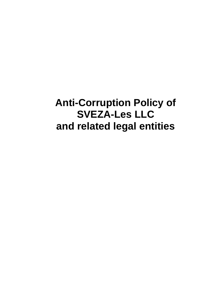**Anti-Corruption Policy of SVEZA-Les LLC and related legal entities**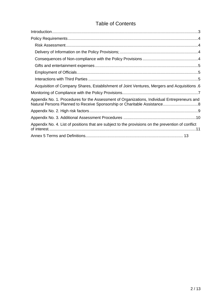# Table of Contents

| Acquisition of Company Shares, Establishment of Joint Ventures, Mergers and Acquisitions .6        |
|----------------------------------------------------------------------------------------------------|
|                                                                                                    |
| Appendix No. 1. Procedures for the Assessment of Organizations, Individual Entrepreneurs and       |
|                                                                                                    |
|                                                                                                    |
| Appendix No. 4. List of positions that are subject to the provisions on the prevention of conflict |
|                                                                                                    |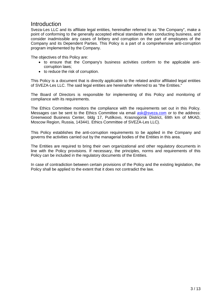## <span id="page-2-0"></span>Introduction

Sveza-Les LLC and its affiliate legal entities, hereinafter referred to as "the Company", make a point of conforming to the generally accepted ethical standards when conducting business, and consider inadmissible any cases of bribery and corruption on the part of employees of the Company and its Dependent Parties. This Policy is a part of a comprehensive anti-corruption program implemented by the Company.

The objectives of this Policy are:

- to ensure that the Company's business activities conform to the applicable anticorruption laws;
- to reduce the risk of corruption.

This Policy is a document that is directly applicable to the related and/or affiliated legal entities of SVEZA-Les LLC. The said legal entities are hereinafter referred to as "the Entities."

The Board of Directors is responsible for implementing of this Policy and monitoring of compliance with its requirements.

The Ethics Committee monitors the compliance with the requirements set out in this Policy. Messages can be sent to the Ethics Committee via email [ask@sveza.com](mailto:ask@sveza.com) or to the address: Greenwood Business Center, bldg 17, Putilkovo, Krasnogorsk District, 69th km of MKAD, Moscow Region, Russia, 143441. Ethics Committee of SVEZA-Les LLC).

This Policy establishes the anti-corruption requirements to be applied in the Company and governs the activities carried out by the managerial bodies of the Entities in this area.

The Entities are required to bring their own organizational and other regulatory documents in line with the Policy provisions. If necessary, the principles, norms and requirements of this Policy can be included in the regulatory documents of the Entities.

In case of contradiction between certain provisions of the Policy and the existing legislation, the Policy shall be applied to the extent that it does not contradict the law.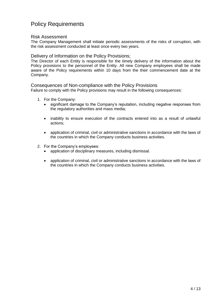# <span id="page-3-0"></span>Policy Requirements

## <span id="page-3-1"></span>Risk Assessment

The Company Management shall initiate periodic assessments of the risks of corruption, with the risk assessment conducted at least once every two years.

## <span id="page-3-2"></span>Delivery of Information on the Policy Provisions;

The Director of each Entity is responsible for the timely delivery of the information about the Policy provisions to the personnel of the Entity. All new Company employees shall be made aware of the Policy requirements within 10 days from the their commencement date at the Company.

## <span id="page-3-3"></span>Consequences of Non-compliance with the Policy Provisions

Failure to comply with the Policy provisions may result in the following consequences:

- 1. For the Company:
	- significant damage to the Company's reputation, including negative responses from the regulatory authorities and mass media;
	- inability to ensure execution of the contracts entered into as a result of unlawful actions;
	- application of criminal, civil or administrative sanctions in accordance with the laws of the countries in which the Company conducts business activities.
- 2. For the Company's employees:
	- application of disciplinary measures, including dismissal.
	- application of criminal, civil or administrative sanctions in accordance with the laws of the countries in which the Company conducts business activities.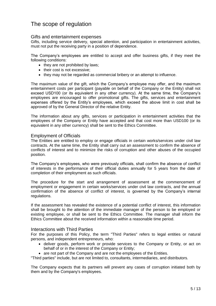## The scope of regulation

## <span id="page-4-0"></span>Gifts and entertainment expenses

Gifts, including service delivery, special attention, and participation in entertainment activities, must not put the receiving party in a position of dependence.

The Company's employees are entitled to accept and offer business gifts, if they meet the following conditions:

- $\bullet$  they are not prohibited by laws;
- their cost is not excessive;
- they may not be regarded as commercial bribery or an attempt to influence.

The maximum value of the gift, which the Company's employee may offer, and the maximum entertainment costs per participant (payable on behalf of the Company or the Entity) shall not exceed USD100 (or its equivalent in any other currency). At the same time, the Company's employees are encouraged to offer promotional gifts. The gifts, services and entertainment expenses offered by the Entity's employees, which exceed the above limit in cost shall be approved of by the General Director of the relative Entity.

The information about any gifts, services or participation in entertainment activities that the employees of the Company or Entity have accepted and that cost more than USD100 (or its equivalent in any other currency) shall be sent to the Ethics Committee.

## <span id="page-4-1"></span>Employment of Officials

The Entities are entitled to employ or engage officials in certain works/services under civil law contracts. At the same time, the Entity shall carry out an assessment to confirm the absence of conflicts of interest and to minimize the risks of corruption and other abuses of the occupied position.

The Company's employees, who were previously officials, shall confirm the absence of conflict of interests in the performance of their official duties annually for 5 years from the date of completion of their employment as such officials.

The procedure for the start and arrangement of assessment at the commencement of employment or engagement in certain works/services under civil law contracts, and the annual confirmation of the absence of conflict of interest, is governed by the Company's internal regulations.

If the assessment has revealed the existence of a potential conflict of interest, this information shall be brought to the attention of the immediate manager of the person to be employed or existing employee, or shall be sent to the Ethics Committee. The manager shall inform the Ethics Committee about the received information within a reasonable time period.

#### <span id="page-4-2"></span>Interactions with Third Parties

For the purposes of this Policy, the term "Third Parties" refers to legal entities or natural persons, and independent entrepreneurs, who:

• deliver goods, perform work or provide services to the Company or Entity, or act on behalf of or in the interest of the Company or Entity;

• are not part of the Company and are not the employees of the Entities.

"Third parties" include, but are not limited to, consultants, intermediaries, and distributors.

The Company expects that its partners will prevent any cases of corruption initiated both by them and by the Company's employees.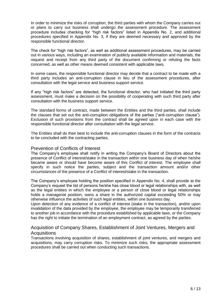In order to minimize the risks of corruption, the third parties with whom the Company carries out or plans to carry out business shall undergo the assessment procedure. The assessment procedure includes checking for "high risk factors" listed in Appendix No. 2, and additional procedures specified in Appendix No. 3, if they are deemed necessary and approved by the responsible functional director.

The check for "high risk factors", as well as additional assessment procedures, may be carried out in various ways, including an examination of publicly available information and materials, the request and receipt from any third party of the document confirming or refuting the facts concerned, as well as other means deemed consistent with applicable laws.

In some cases, the responsible functional director may decide that a contract to be made with a third party includes an anti-corruption clause in lieu of the assessment procedures, after consultation with the legal service and business support service.

If any "high risk factors" are detected, the functional director, who had initiated the third party assessment, must make a decision on the possibility of cooperating with such third party after consultation with the business support service.

The standard forms of contract, made between the Entities and the third parties, shall include the clauses that set out the anti-corruption obligations of the parties ("anti-corruption clause"). Exclusion of such provisions from the contract shall be agreed upon in each case with the responsible functional director after consultation with the legal service.

The Entities shall do their best to include the anti-corruption clauses in the form of the contracts to be concluded with the contracting parties.

#### Prevention of Conflicts of Interest

The Company's employee shall notify in writing the Company's Board of Directors about the presence of Conflict of interest/stake in the transaction within one business day of when he/she became aware or should have become aware of this Conflict of interest. The employee shall specify in such notice the parties, subject and the transaction amount and/or other circumstances of the presence of a Conflict of interest/stake in the transaction.

The Company's employee holding the position specified in Appendix No. 4, shall provide at the Company's request the list of persons he/she has close blood or legal relationships with, as well as the legal entities in which the employee or a person of close blood or legal relationships holds a managerial position, owns a share in the authorized capital exceeding 50% or may otherwise influence the activities of such legal entities, within one business day.

Upon detection of any evidence of a conflict of interest (stake in the transaction), and/or upon invalidation of the data provided by the employee, the employee may be temporarily transferred to another job in accordance with the procedure established by applicable laws, or the Company has the right to initiate the termination of an employment contract, as agreed by the parties.

#### <span id="page-5-0"></span>Acquisition of Company Shares, Establishment of Joint Ventures, Mergers and **Acquisitions**

Transactions involving acquisition of shares, establishment of joint ventures, and mergers and acquisitions, may carry corruption risks. To minimize such risks, the appropriate assessment procedures shall be carried out when conducting such transactions.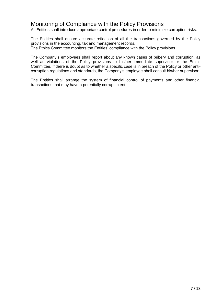## <span id="page-6-0"></span>Monitoring of Compliance with the Policy Provisions

All Entities shall introduce appropriate control procedures in order to minimize corruption risks.

The Entities shall ensure accurate reflection of all the transactions governed by the Policy provisions in the accounting, tax and management records.

The Ethics Committee monitors the Entities' compliance with the Policy provisions.

The Company's employees shall report about any known cases of bribery and corruption, as well as violations of the Policy provisions to his/her immediate supervisor or the Ethics Committee. If there is doubt as to whether a specific case is in breach of the Policy or other anticorruption regulations and standards, the Company's employee shall consult his/her supervisor.

The Entities shall arrange the system of financial control of payments and other financial transactions that may have a potentially corrupt intent.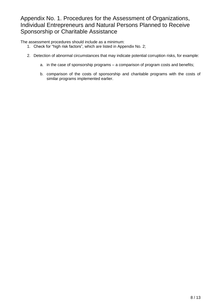# <span id="page-7-0"></span>Appendix No. 1. Procedures for the Assessment of Organizations, Individual Entrepreneurs and Natural Persons Planned to Receive Sponsorship or Charitable Assistance

The assessment procedures should include as a minimum:

- 1. Check for "high risk factors", which are listed in Appendix No. 2;
- 2. Detection of abnormal circumstances that may indicate potential corruption risks, for example:
	- a. in the case of sponsorship programs a comparison of program costs and benefits;
	- b. comparison of the costs of sponsorship and charitable programs with the costs of similar programs implemented earlier.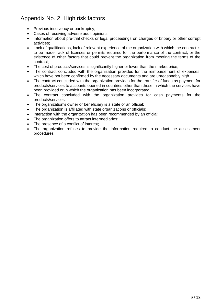# <span id="page-8-0"></span>Appendix No. 2. High risk factors

- Previous insolvency or bankruptcy;
- Cases of receiving adverse audit opinions;
- Information about pre-trial checks or legal proceedings on charges of bribery or other corrupt activities;
- Lack of qualifications, lack of relevant experience of the organization with which the contract is to be made, lack of licenses or permits required for the performance of the contract, or the existence of other factors that could prevent the organization from meeting the terms of the contract;
- The cost of products/services is significantly higher or lower than the market price;
- The contract concluded with the organization provides for the reimbursement of expenses, which have not been confirmed by the necessary documents and are unreasonably high.
- The contract concluded with the organization provides for the transfer of funds as payment for products/services to accounts opened in countries other than those in which the services have been provided or in which the organization has been incorporated;
- The contract concluded with the organization provides for cash payments for the products/services;
- The organization's owner or beneficiary is a state or an official;
- The organization is affiliated with state organizations or officials;
- Interaction with the organization has been recommended by an official;
- The organization offers to attract intermediaries;
- The presence of a conflict of interest;
- The organization refuses to provide the information required to conduct the assessment procedures.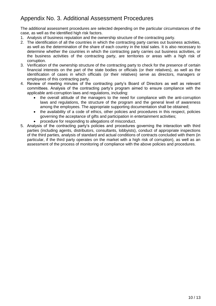# <span id="page-9-0"></span>Appendix No. 3. Additional Assessment Procedures

The additional assessment procedures are selected depending on the particular circumstances of the case, as well as the identified high risk factors.

- 1. Analysis of business reputation and the ownership structure of the contracting party.
- 2. The identification of all the countries in which the contracting party carries out business activities, as well as the determination of the share of each country in the total sales. It is also necessary to determine whether the countries in which the contracting party carries out business activities, or the business activities of the contracting party, are territories or areas with a high risk of corruption.
- 3. Verification of the ownership structure of the contracting party to check for the presence of certain financial interests on the part of the state bodies or officials (or their relatives), as well as the identification of cases in which officials (or their relatives) serve as directors, managers or employees of this contracting party.
- 4. Review of meeting minutes of the contracting party's Board of Directors as well as relevant committees. Analysis of the contracting party's program aimed to ensure compliance with the applicable anti-corruption laws and regulations, including:
	- the overall attitude of the managers to the need for compliance with the anti-corruption laws and regulations, the structure of the program and the general level of awareness among the employees. The appropriate supporting documentation shall be obtained;
	- the availability of a code of ethics, other policies and procedures in this respect, policies governing the acceptance of gifts and participation in entertainment activities;
	- procedure for responding to allegations of misconduct.
- 5. Analysis of the contracting party's policies and procedures governing the interaction with third parties (including agents, distributors, consultants, lobbyists), conduct of appropriate inspections of the third parties, analysis of standard and actual conditions of contracts concluded with them (in particular, if the third party operates on the market with a high risk of corruption), as well as an assessment of the process of monitoring of compliance with the above policies and procedures.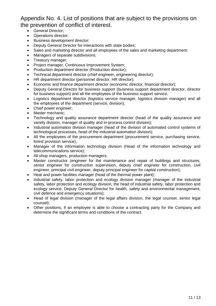# <span id="page-10-0"></span>Appendix No. 4. List of positions that are subject to the provisions on the prevention of conflict of interest.

- **•** General Director:
- Operations director:
- **Business development director;**
- Deputy General Director for interactions with state bodies;
- Sales and marketing director and all employees of the sales and marketing department;
- Managers of separate subdivisions:
- Treasury manager:
- Project manager, Continuous Improvement System;
- Production department director (Production director);
- Technical department director (chief engineer, engineering director);
- HR department director (personnel director, HR director);
- Economic and finance department director (economic director, financial director);
- Deputy General Director for business support (business support department director, director for business support) and all the employees of the business support service;
- Logistics department director (logistics service manager, logistics division manager) and all the employees of the department (service, division);
- Chief power engineer;
- Master mechanic;
- Technology and quality assurance department director (head of the quality assurance and variety division, manager of quality and in-process control division);
- Industrial automation division manager (head of the division of automated control systems of technological processes, head of the industrial automation division);
- All the employees of the procurement department (procurement service, purchasing service, forest provision service);
- Manager of the information technology division (Head of the information technology and telecommunications service);
- All shop managers, production managers;
- Master constructor (engineer for the maintenance and repair of buildings and structures, senior engineer for construction supervision, deputy chief engineer for construction, civil engineer, principal civil engineer, deputy principal engineer for capital construction);
- Heat and power facilities manager (head of the thermal power plant);
- Industrial safety, labor protection and ecology division manager (manager of the industrial safety, labor protection and ecology division, the head of industrial safety, labor protection and ecology service, Deputy General Director for health, safety and environmental management, civil defence and emergency situations);
- Head of legal division (manager of the legal affairs division, the legal counsel, senior legal counsel);
- Other positions, if an employee is able to choose a contracting party for the Company and determine the significant terms and conditions of the contract.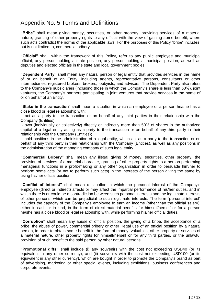## Appendix No. 5 Terms and Definitions

**"Bribe"** shall mean giving money, securities, or other property, providing services of a material nature, granting of other property rights to any official with the view of gaining some benefit, where such acts contradict the norms of the applicable laws. For the purposes of this Policy "bribe" includes, but is not limited to, commercial bribery.

**"Official"** shall, within the framework of this Policy, refer to any public employee and municipal official, any person holding a state position, any person holding a municipal position, as well as deputies and elected officials in the state and local government bodies.

**"Dependent Party"** shall mean any natural person or legal entity that provides services in the name of or on behalf of an Entity, including agents, representative persons, consultants or other intermediaries, registered brokers, brokers, lobbyists, and advisors. The Dependent Party also refers to the Company's subsidiaries (including those in which the Company's share is less than 50%), joint ventures, the Company's partners participating in joint ventures that provide services in the name of or on behalf of an Entity.

**"Stake in the transaction**" shall mean a situation in which an employee or a person he/she has a close blood or legal relationship with:

- act as a party to the transaction or on behalf of any third parties in their relationship with the Company (Entities);

- own (individually or collectively) directly or indirectly more than 50% of shares in the authorized capital of a legal entity acting as a party to the transaction or on behalf of any third party in their relationship with the Company (Entities);

- hold positions in the administration of a legal entity, which act as a party to the transaction or on behalf of any third party in their relationship with the Company (Entities), as well as any positions in the administration of the managing company of such legal entity.

**"Commercial Bribery"** shall mean any illegal giving of money, securities, other property, the provision of services of a material character, granting of other property rights to a person performing managerial functions in a profit-making or any other organization in order to persuade him/her to perform some acts (or not to perform such acts) in the interests of the person giving the same by using his/her official position.

**"Conflict of interest"** shall mean a situation in which the personal interest of the Company's employee (direct or indirect) affects or may affect the impartial performance of his/her duties, and in which there is or could be a contradiction between such personal interests and the legitimate interests of other persons, which can be prejudicial to such legitimate interests. The term "personal interest" includes the capacity of the Company's employee to earn an income (other than the official salary), either in cash or in kind, in the form of direct material benefits for himself/herself or for a person he/she has a close blood or legal relationship with, while performing his/her official duties.

**"Corruption"** shall mean any abuse of official position, the giving of a bribe, the acceptance of a bribe, the abuse of power, commercial bribery or other illegal use of an official position by a natural person, in order to obtain some benefit in the form of money, valuables, other property or services of a material nature, other property rights for himself/herself or for any third parties, or the unlawful provision of such benefit to the said person by other natural persons.

**"Promotional gifts"** shall include (i) any souvenirs with the cost not exceeding USD40 (or its equivalent in any other currency), and (ii) souvenirs with the cost not exceeding USD100 (or its equivalent in any other currency), which are bought in order to promote the Company's brand as part of advertising, marketing or other special events, including exhibitions, business conferences and corporate events.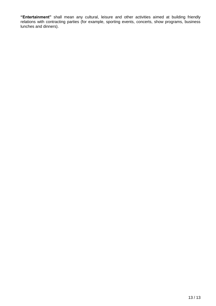**"Entertainment"** shall mean any cultural, leisure and other activities aimed at building friendly relations with contracting parties (for example, sporting events, concerts, show programs, business lunches and dinners).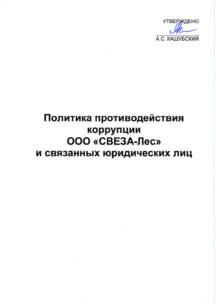

# Политика противодействия коррупции ООО «СВЕЗА-Лес» и связанных юридических лиц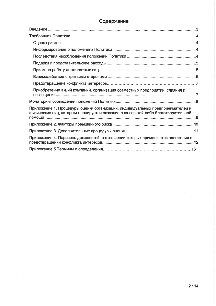## Содержание

| Приобретение акций компаний, организация совместных предприятий, слияния и                                                                                       |  |
|------------------------------------------------------------------------------------------------------------------------------------------------------------------|--|
|                                                                                                                                                                  |  |
| Приложение 1. Процедуры оценки организаций, индивидуальных предпринимателей и<br>физических лиц, которым планируется сказание спонсорской либо благотворительной |  |
|                                                                                                                                                                  |  |
|                                                                                                                                                                  |  |
| Приложение 4. Перечень должностей, в отношении которых применяются положения о                                                                                   |  |
|                                                                                                                                                                  |  |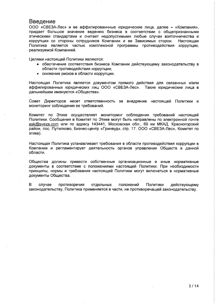## Введение

ООО «СВЕЗА-Лес» и ее аффилированнные юридические лица, далее - «Компания», придает большое значение ведению бизнеса в соответствии с общепризнанными этическими стандартами и считает недопустимыми любые случаи взяточничества и коррупции со стороны сотрудников Компании и ее Зависимых сторон. Настояшая Политика является частью комплексной программы противодействия коррупции. реализуемой Компанией.

Целями настоящей Политики являются:

- обеспечение соответствия бизнеса Компании действующему законодательству в области противодействия коррупции;
- снижение рисков в области коррупции.

Настоящая Политика является документом прямого действия для связанных и/или аффилированных юридических лиц ООО «СВЕЗА-Лес». Такие юридические лица в дальнейшем именуются «Общества».

Совет Директоров несет ответственность за внедрение настоящей Политики и мониторинг соблюдения ее требований.

Комитет по Этике осуществляет мониторинг соблюдения требований настоящей Политики. Сообщения в Комитет по Этике могут быть направлены по электронной почте ask@sveza.com или по адресу 143441, Московская обл., 69 км МКАД, Красногорский район, пос. Путилково, Бизнес-центр «Гринвуд», стр. 17. ООО «СВЕЗА-Лес», Комитет по этике).

Настоящая Политика устанавливает требования в области противодействия коррупции в Компании и регламентирует деятельность органов управления Обществ в данной области.

Общества должны привести собственные организационные и иные нормативные документы в соответствие с положениями настоящей Политики. При необходимости принципы, нормы и требования настоящей Политики могут включаться в нормативные документы Общества.

B случае противоречия отдельных положений Политики действующему законодательству. Политика применяется в части, не противоречащей законодательству.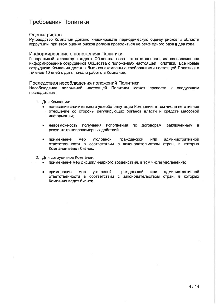## Требования Политики

#### Оценка рисков

Руководство Компании должно инициировать периодическую оценку рисков в области коррупции, при этом оценка рисков должна проводиться не реже одного раза в два года.

#### Информирование о положениях Политики:

Генеральный директор каждого Общества несет ответственность за своевременное информирование сотрудников Общества о положениях настоящей Политики. Все новые сотрудники Компании должны быть ознакомлены с требованиями настоящей Политики в течение 10 дней с даты начала работы в Компании.

#### Последствия несоблюдения положений Политики

Несоблюдение положений настоящей Политики может привести к следующим последствиям:

- 1. Для Компании:
	- нанесение значительного ущерба репутации Компании, в том числе негативное отношение со стороны регулирующих органов власти и средств массовой информации;
	- невозможность получения исполнения  $\overline{p}$ договорам, заключенным  $\mathbf{B}$ результате неправомерных действий;
	- уголовной, гражданской применение мер или административной ответственности в соответствии с законодательством стран, в которых Компания ведет бизнес.
- 2. Для сотрудников Компании:
	- применение мер дисциплинарного воздействия, в том числе увольнение;
	- уголовной, применение Mep гражданской ИЛИ административной ответственности в соответствии с законодательством стран, в которых Компания ведет бизнес.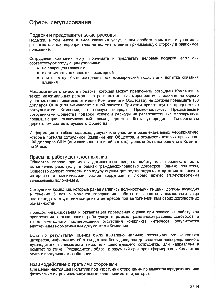## Сферы регулирования

#### Подарки и представительские расходы

Подарки, в том числе в виде оказания услуг, знаки особого внимания и участие в развлекательных мероприятиях не должны ставить принимающую сторону в зависимое положение.

Сотрудники Компании могут принимать и предлагать деловые подарки, если они соответствуют следующим условиям:

- не запрещены законом;
- ИХ СТОИМОСТЬ НЕ ЯВЛЯЕТСЯ ЧРЕЗМЕРНОЙ;
- они не могут быть расценены как коммерческий подкуп или попытка оказания ВЛИЯНИЯ.

Максимальная стоимость подарка, который может предложить сотрудник Компании, а также максимальные расходы на развлекательные мероприятия в расчете на одного участника (оплачиваемые от имени Компании или Общества), не должны превышать 100 долларов США (или эквивалент в иной валюте). При этом приветствуется предложение в первую очередь, Промо-подарков. Предлагаемые Компании. сотрудниками сотрудниками Общества подарки, услуги и расходы на развлекательные мероприятия, превышающие вышеуказанный лимит, должны быть утверждены Генеральным директором соответствующего Общества.

Информация о любых подарках, услугах или участии в развлекательных мероприятиях, которые приняли сотрудники Компании или Общества, и стоимость которых превышает 100 долларов США (или эквивалент в иной валюте), должна быть направлена в Комитет по Этике.

#### Прием на работу должностных лиц

Общества вправе принимать должностных лиц на работу или привлекать их к выполнению работ/услуг в рамках гражданско-правовых договоров. Однако, при этом, Общество должно провести процедуру оценки для подтверждения отсутствия конфликта интересов и минимизации рисков коррупции и любых других злоупотреблений занимаемым положением.

Сотрудники Компании, которые ранее являлись должностными лицами, должны ежегодно в течение 5 лет с момента завершения работы в качестве должностного лица подтверждать отсутствие конфликта интересов при выполнении ими своих должностных обязанностей.

Порядок инициирования и организации проведения оценки при приеме на работу или привлечении к выполнению работ/услуг в рамках гражданско-правовых договоров, а также ежегодного подтверждения отсутствия конфликта интересов, регулируется внутренними нормативными документами Компании.

Если по результатам оценки было выявлено наличие потенциального конфликта интересов, информация об этом должна быть доведена до сведения непосредственного руководителя нанимаемого лица, или действующего сотрудника, или направлена в Комитет по этике. Руководитель обязан в разумный срок проинформировать Комитет по этике о поступившем сообщении.

#### Взаимодействие с третьими сторонами

Для целей настоящей Политики под «третьими сторонами» понимаются юридические или физические лица и индивидуальные предприниматели, которые: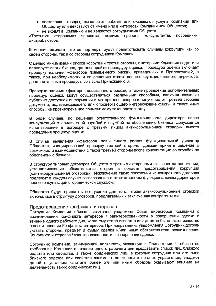- поставляют товары, выполняют работы или оказывают услуги Компании или Обществу или действуют от имени или в интересах Компании или Общества;
- не входят в Компанию и не являются сотрудниками Обществ.

сторонами» ЯВЛЯЮТСЯ. ПОМИМО прочего. консультанты, посредники. «Третьими дистрибьюторы.

Компания ожидает, что ее партнеры будут препятствовать случаям коррупции как со своей стороны, так и со стороны сотрудников Компании.

С целью минимизации рисков коррупции третьи стороны, с которыми Компания ведет или планирует вести бизнес, должны пройти процедуру оценки. Процедура оценки включает проверку наличия «факторов повышенного риска», приведенных в Приложении 2, а также, при необходимости и по решению ответственного функционального директора, дополнительные процедуры согласно Приложению 3.

Проверка наличия «факторов повышенного риска», а также проведение дополнительных процедур оценки, могут осуществляться различными способами, включая изучение публично доступной информации и материалов, запрос и получение от третьей стороны документа, подтверждающего или опровергающего интересующие факты, а также иные способы, не противоречащие применимому законодательству.

В ряде случаев, по решению ответственного функционального директора после консультаций с юридической службой и службой по обеспечению бизнеса, допускается использование в договоре с третьим лицом антикоррупционной оговорки вместо проведения процедур оценки.

В случае выявления «факторов повышенного риска» функциональный директор Общества, инициировавший проверку третьей стороны, должен принять решение о возможности взаимодействия с такой третьей стороны после консультации со службой по обеспечению бизнеса.

В структуру типовых договоров Обществ с третьими сторонами включаются положения, устанавливающие обязательства сторон в области предотвращения коррупции («антикоррупционная оговорка»). Исключение таких положений из конкретного договора подлежит в каждом случае согласованию с ответственным функциональным директором после консультации с юридической службой.

Общества будут прилагать все усилия для того, чтобы антикоррупционные оговорки включались в структуру договоров, предлагаемых к заключению контрагентами.

#### Предотвращение конфликта интересов

Сотрудник Компании обязан письменно уведомить Совет директоров Компании о возникновении Конфликта интересов / заинтересованности в совершении сделки в течение одного рабочего дня, когда ему стало известно или должно было стать известно о возникновении Конфликта интересов. При направлении уведомления Сотрудник должен указать стороны, предмет и сумму сделки и/или иные обстоятельства возникновения Конфликта интересов / заинтересованности в совершении сделки.

Сотрудник Компании, занимающий должность, указанную в Приложении 4, обязан по требованию Компании в течение одного рабочего дня представить список лиц близкого родства или свойства, а также юридических лиц, в которых сотрудник или его лица близкого родства или свойства занимают должности в органах управления, владеют долей в уставном капитале более 5% или иным образом оказывают влияние на деятельность таких юридических лиц.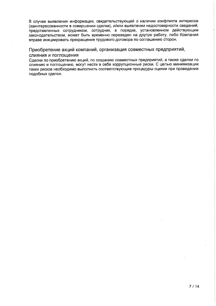В случае выявления информации, свидетельствующей о наличии конфликта интересов (заинтересованности в совершении сделки), и/или выявлении недостоверности сведений, представленных сотрудником, сотрудник, в порядке, установленном действующим законодательством, может быть временно переведен на другую работу, либо Компания вправе инициировать прекращение трудового договора по соглашению сторон.

Приобретение акций компаний, организация совместных предприятий, слияния и поглощения

Сделки по приобретению акций, по созданию совместных предприятий, а также сделки по слиянию и поглощению, могут нести в себе коррупционные риски. С целью минимизации таких рисков необходимо выполнить соответствующие процедуры оценки при проведении подобных сделок.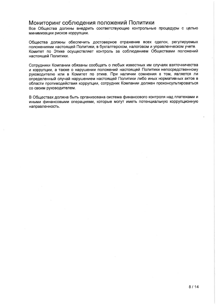## Мониторинг соблюдения положений Политики

Все Общества должны внедрить соответствующие контрольные процедуры с целью минимизации рисков коррупции.

Общества должны обеспечить достоверное отражение всех сделок, регулируемых положениями настоящей Политики, в бухгалтерском, налоговом и управленческом учете. Комитет по Этике осуществляет контроль за соблюдением Обществами положений настоящей Политики.

Сотрудники Компании обязаны сообщать о любых известных им случаях взяточничества и коррупции, а также о нарушении положений настоящей Политики непосредственному руководителю или в Комитет по этике. При наличии сомнения в том, является ли определенный случай нарушением настоящей Политики либо иных нормативных актов в области противодействия коррупции, сотрудник Компании должен проконсультироваться со своим руководителем.

В Обществах должна быть организована система финансового контроля над платежами и иными финансовыми операциями, которые могут иметь потенциальную коррупционную направленность.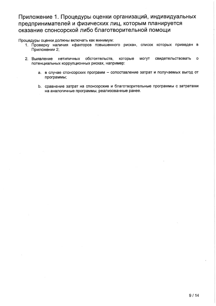## Приложение 1. Процедуры оценки организаций, индивидуальных предпринимателей и физических лиц, которым планируется оказание спонсорской либо благотворительной помощи

Процедуры оценки должны включать как минимум:

- 1. Проверку наличия «факторов повышенного риска», список которых приведен в Приложении 2;
- 2. Выявление нетипичных обстоятельств, которые **MOLAT** свидетельствовать  $\mathbf{o}$ потенциальных коррупционных рисках, например:
	- а. в случае спонсорских программ сопоставление затрат и получаемых выгод от программы;
	- b. сравнение затрат на спонсорские и благотворительные программы с затратами на аналогичные программы, реализованные ранее.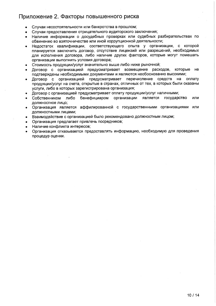## Приложение 2. Факторы повышенного риска

- Случаи несостоятельности или банкротства в прошлом;
- Случаи предоставления отрицательного аудиторского заключения;
- Наличие информации о досудебных проверках или судебных разбирательствах по обвинению во взяточничестве или иной коррупционной деятельности;
- Недостаток квалификации, соответствующего опыта у организации, с которой планируется заключить договор, отсутствие лицензий или разрешений, необходимых для исполнения договора, либо наличие других факторов, которые могут помешать организации выполнить условия договора;
- Стоимость продукции/услуг значительно выше либо ниже рыночной;
- Договор с организацией предусматривает возмещение расходов. которые He подтверждены необходимыми документами и являются необоснованно высокими;
- Договор с организацией предусматривает перечисление средств на оплату продукции/услуг на счета, открытые в странах, отличных от тех, в которых были оказаны услуги, либо в которых зарегистрирована организация;
- Договор с организацией предусматривает оплату продукции/услуг наличными;
- бенефициаром организации является государство Собственником либо или должностное лицо:
- Организация является аффилированной с государственными организациями или должностными лицами;
- Взаимодействие с организацией было рекомендовано должностным лицом;
- Организация предлагает привлечь посредников:
- Наличие конфликта интересов:
- Организация отказывается предоставлять информацию, необходимую для проведения процедур оценки.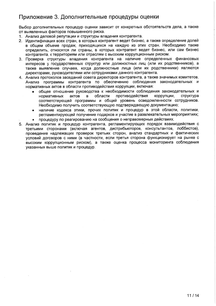## Приложение 3. Дополнительные процедуры оценки

Выбор дополнительных процедур оценки зависит от конкретных обстоятельств дела, а также от выявленных факторов повышенного риска.

- 1. Анализ деловой репутации и структуры владения контрагента.
- 2. Идентификация всех стран, в которых контрагент ведет бизнес, а также определение долей в общем объеме продаж, приходящихся на каждую из этих стран. Необходимо также определить, относятся ли страны, в которых контрагент ведет бизнес, или сам бизнес контрагента, к территориям или отраслям с высоким коррупционным риском.
- 3. Проверка структуры владения контрагента на наличие определенных финансовых интересов у государственных структур или должностных лиц (или их родственников), а также выявление случаев, когда должностные лица (или их родственники) являются директорами, руководителями или сотрудниками данного контрагента.
- 4. Анализ протоколов заседаний совета директоров контрагента, а также значимых комитетов. Анализ программы контрагента по обеспечению соблюдения законодательных и нормативных актов в области противодействия коррупции, включая:
	- общее отношение руководства к необходимости соблюдения законодательных и актов  $\mathbf{B}$ области противодействия коррупции. структура нормативных соответствующей программы и общий уровень осведомленности сотрудников. Необходимо получить соответствующую подтверждающую документацию;
	- наличие кодекса этики, прочих политик и процедур в этой области, политики,  $\bullet$ регламентирующей получение подарков и участие в развлекательных мероприятиях; процедуру по реагированию на сообщения о неправомерных действиях.  $\bullet$
- 5. Анализ политик и процедур контрагента, регламентирующих порядок взаимодействия с третьими сторонами (включая агентов, дистрибьюторов, консультантов, лоббистов), проведение надлежащих проверок третьих сторон, анализ стандартных и фактических условий договоров с ними (в частности, если третья сторона функционирует на рынке с высоким коррупционным риском), а также оценка процесса мониторинга соблюдения указанных выше политик и процедур.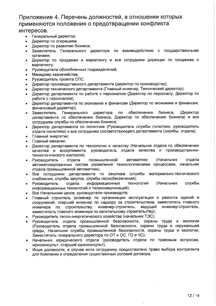# Приложение 4. Перечень должностей, в отношении которых применяются положения о предотвращении конфликта

## интересов.

- Генеральный директор;
- Директор по операциям;
- Директор по развитию бизнеса;
- Заместитель Генерального директора по взаимодействию с государственными органами:
- Директор по продажам и маркетингу и все сотрудники дирекции по продажам и  $\bullet$ маркетингу;
- Руководители обособленных подразделений;  $\bullet$
- Менеджер казначейства:  $\bullet$
- Руководитель проекта СПС;
- Директор производственного департамента (директор по производству);  $\bullet$
- Директор технического департамента (Главный инженер, Технический директор);
- Директор департамента по работе с персоналом (Директор по персоналу, Директор по работе с персоналом);
- Директор департамента по экономике и финансам (Директор по экономике и финансам,  $\bullet$ финансовый директор);
- обеспечению Генерального директора по бизнеса, (Директор Заместитель департамента по обеспечению бизнеса, Директор по обеспечению бизнеса) и все сотрудники службы по обеспечению бизнеса;
- Директор департамента по логистике (Руководитель службы логистики, руководитель  $\bullet$ отдела логистики) и все сотрудники соответствующего департамента (службы, отдела);
- Главный энергетик;
- Главный механик;
- Директор департамента по технологии и качеству (Начальник отдела по обеспечению качества и ассортимента, руководитель отдела качества и производственнотехнологического контроля);
- (Начальник отдела промышленной автоматики отдела • Руководитель автоматизированных систем управления технологическими процессами, начальник отдела промышленной автоматики);
- Все сотрудники департамента по закупкам (службы материально-технического снабжения, службы закупок, службы лесообеспечения);
- Руководитель информационных технологий (Начальник службы отдела  $\bullet$ информационных технологий и телекоммуникаций);
- Все Начальники цехов, руководители производств;
- Главный строитель (инженер по организации эксплуатации и ремонта зданий и  $\bullet$ сооружений, старший инженер по надзору за строительством, заместитель главного инженера по строительству, инженер-строитель, ведущий инженер-строитель, заместитель главного инженера по капитальному строительству);
- Руководитель тепло-энергетического хозяйства (начальник ТЭС);
- Руководитель отдела промышленной безопасности, охраны труда и экологии (Руководитель отдела промышленной безопасности, охраны труда и окружающей среды, Начальник службы промышленной безопасности, охраны труда и экологии, Заместитель генерального директора по ОТ и ОС, ГО и ЧС);
- Начальник юридического отдела (руководитель отдела по правовым вопросам, юрисконсульт, старший юрисконсульт);
- Иные должности, в случае если сотруднику предоставлено право выбора контрагента для Компании и определения существенных условий договора.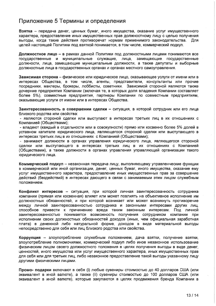## Приложение 5 Термины и определения

Взятка - передача денег, ценных бумаг, иного имущества, оказание услуг имущественного характера, предоставление иных имущественных прав должностному лицу с целью получения выгоды, когда такие действия противоречат нормам применимого законодательства. Для целей настоящей Политики под взяткой понимается, в том числе, коммерческий подкуп.

Должностное лицо - в рамках данной Политики под должностными лицами понимаются все государственные и муниципальные служащие, лица, замещающие государственные должности, лица, замещающие муниципальные должности, а также депутаты и выборные должностные лица в государственных органах и органах местного самоуправления.

Зависимая сторона - физическое или юридическое лицо, оказывающее услуги от имени или в интересах Общества, в том числе, агенты, представители, консультанты или прочие посредники, маклеры, брокеры, лоббисты, советники. Зависимой стороной являются также дочерние предприятия Компании (включая те, в которых доля владения Компании составляет более 5%), совместные предприятия, партнеры Компании по совместным предприятиям, оказывающие услуги от имени или в интересах Общества.

Заинтересованность в совершении сделки - ситуация, в которой сотрудник или его лица близкого родства или свойства:

- являются стороной сделки или выступают в интересах третьих лиц в их отношениях с Компанией (Обществами);

- владеют (каждый в отдельности или в совокупности) прямо или косвенно более 5% долей в уставном капитале юридического лица, являющегося стороной сделки или выступающего в интересах третьих лиц в их отношениях с Компанией (Обществами);

- занимают должности в органах управления юридического лица, являющегося стороной сделки или выступающего в интересах третьих лиц в их отношениях с Компанией (Обществами), а также должности в органах управления управляющей организации такого юридического лица.

Коммерческий подкуп - незаконная передача лицу, выполняющему управленческие функции в коммерческой или иной организации, денег, ценных бумаг, иного имущества, оказание ему услуг имущественного характера, предоставление иных имущественных прав за совершение действий (бездействий) в интересах дающего в связи с занимаемым этим лицом служебным положением.

Конфликт интересов - ситуация, при которой личная заинтересованность сотрудника компании (прямая или косвенная) влияет или может повлиять на объективное исполнение им должностных обязанностей, и при которой возникает или может возникнуть противоречие между личной заинтересованностью сотрудника и законными интересами других лиц, способное привести к причинению вреда таким законным интересам. Под личной заинтересованностью понимается возможность получения сотрудником компании при исполнении своих должностных обязанностей доходов (иных, чем официальная заработная плата) в денежной либо натуральной форме, доходов в виде материальной выгоды непосредственно для себя или лиц близкого родства или свойства.

Коррупция - злоупотребление служебным положением, дача взятки, получение взятки, злоупотребление полномочиями, коммерческий подкуп либо иное незаконное использование физическим лицом своего должностного положения в целях получения выгоды в виде денег, ценностей, иного имущества или услуг имущественного характера, иных имущественных прав для себя или для третьих лиц, либо незаконное предоставление такой выгоды указанному лицу другими физическими лицами.

Промо-подарки включают в себя (i) любые сувениры стоимостью до 40 долларов США (или эквивалент в иной валюте), а также (ii) сувениры стоимостью до 100 долларов США (или эквивалент в иной валюте), которые закупаются в целях продвижения бренда Компании в